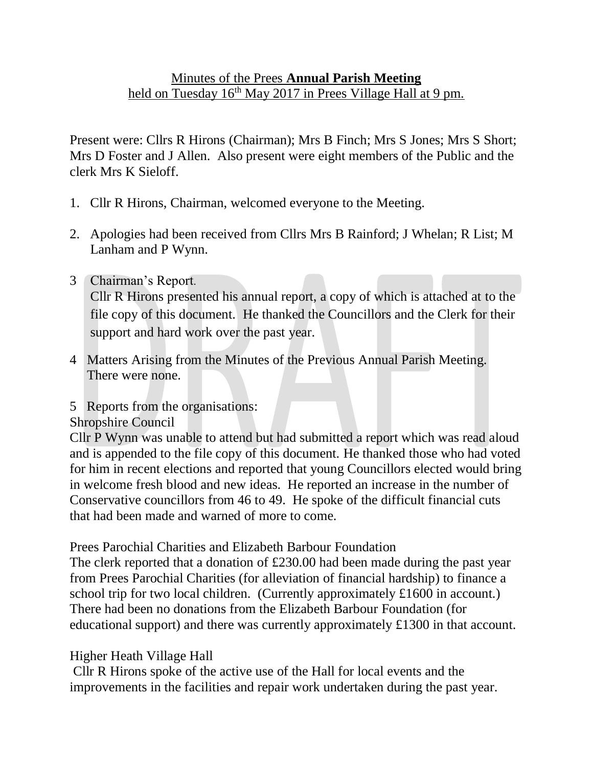# Minutes of the Prees **Annual Parish Meeting** held on Tuesday 16<sup>th</sup> May 2017 in Prees Village Hall at 9 pm.

Present were: Cllrs R Hirons (Chairman); Mrs B Finch; Mrs S Jones; Mrs S Short; Mrs D Foster and J Allen. Also present were eight members of the Public and the clerk Mrs K Sieloff.

- 1. Cllr R Hirons, Chairman, welcomed everyone to the Meeting.
- 2. Apologies had been received from Cllrs Mrs B Rainford; J Whelan; R List; M Lanham and P Wynn.
- 3 Chairman's Report. Cllr R Hirons presented his annual report, a copy of which is attached at to the file copy of this document. He thanked the Councillors and the Clerk for their support and hard work over the past year.
- 4 Matters Arising from the Minutes of the Previous Annual Parish Meeting. There were none.
- 5 Reports from the organisations:

#### Shropshire Council

Cllr P Wynn was unable to attend but had submitted a report which was read aloud and is appended to the file copy of this document. He thanked those who had voted for him in recent elections and reported that young Councillors elected would bring in welcome fresh blood and new ideas. He reported an increase in the number of Conservative councillors from 46 to 49. He spoke of the difficult financial cuts that had been made and warned of more to come.

Prees Parochial Charities and Elizabeth Barbour Foundation

The clerk reported that a donation of £230.00 had been made during the past year from Prees Parochial Charities (for alleviation of financial hardship) to finance a school trip for two local children. (Currently approximately £1600 in account.) There had been no donations from the Elizabeth Barbour Foundation (for educational support) and there was currently approximately £1300 in that account.

#### Higher Heath Village Hall

Cllr R Hirons spoke of the active use of the Hall for local events and the improvements in the facilities and repair work undertaken during the past year.